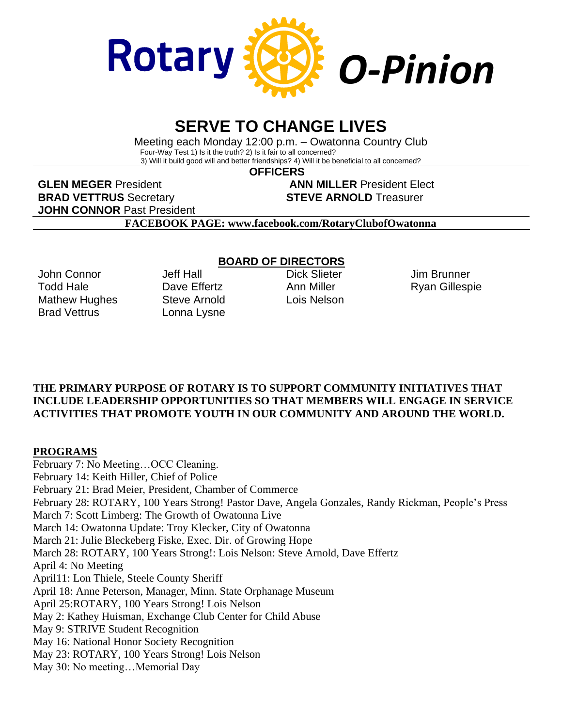

# **SERVE TO CHANGE LIVES**

Meeting each Monday 12:00 p.m. – Owatonna Country Club Four-Way Test 1) Is it the truth? 2) Is it fair to all concerned? 3) Will it build good will and better friendships? 4) Will it be beneficial to all concerned?

**OFFICERS**

**GLEN MEGER** President **ANN MILLER** President Elect **BRAD VETTRUS** Secretary **STEVE ARNOLD** Treasurer **JOHN CONNOR** Past President

**FACEBOOK PAGE: www.facebook.com/RotaryClubofOwatonna**

John Connor Todd Hale Mathew Hughes Brad Vettrus

Jeff Hall Dave Fffertz Steve Arnold Lonna Lysne

### **BOARD OF DIRECTORS**

Dick Slieter Ann Miller Lois Nelson

Jim Brunner Ryan Gillespie

### **THE PRIMARY PURPOSE OF ROTARY IS TO SUPPORT COMMUNITY INITIATIVES THAT INCLUDE LEADERSHIP OPPORTUNITIES SO THAT MEMBERS WILL ENGAGE IN SERVICE ACTIVITIES THAT PROMOTE YOUTH IN OUR COMMUNITY AND AROUND THE WORLD.**

# **PROGRAMS**

February 7: No Meeting…OCC Cleaning. February 14: Keith Hiller, Chief of Police February 21: Brad Meier, President, Chamber of Commerce February 28: ROTARY, 100 Years Strong! Pastor Dave, Angela Gonzales, Randy Rickman, People's Press March 7: Scott Limberg: The Growth of Owatonna Live March 14: Owatonna Update: Troy Klecker, City of Owatonna March 21: Julie Bleckeberg Fiske, Exec. Dir. of Growing Hope March 28: ROTARY, 100 Years Strong!: Lois Nelson: Steve Arnold, Dave Effertz April 4: No Meeting April11: Lon Thiele, Steele County Sheriff April 18: Anne Peterson, Manager, Minn. State Orphanage Museum April 25:ROTARY, 100 Years Strong! Lois Nelson May 2: Kathey Huisman, Exchange Club Center for Child Abuse May 9: STRIVE Student Recognition May 16: National Honor Society Recognition May 23: ROTARY, 100 Years Strong! Lois Nelson May 30: No meeting…Memorial Day